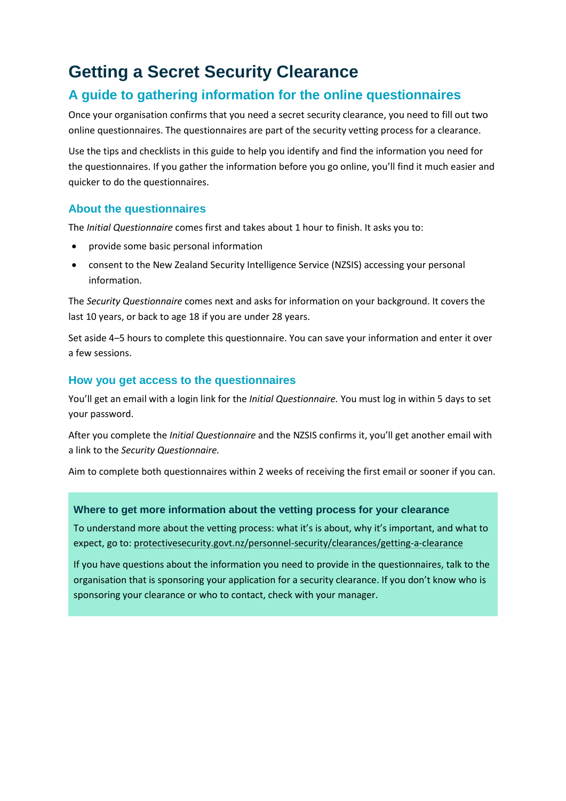### **Getting a Secret Security Clearance**

#### **A guide to gathering information for the online questionnaires**

Once your organisation confirms that you need a secret security clearance, you need to fill out two online questionnaires. The questionnaires are part of the security vetting process for a clearance.

Use the tips and checklists in this guide to help you identify and find the information you need for the questionnaires. If you gather the information before you go online, you'll find it much easier and quicker to do the questionnaires.

#### **About the questionnaires**

The *Initial Questionnaire* comes first and takes about 1 hour to finish. It asks you to:

- provide some basic personal information
- consent to the New Zealand Security Intelligence Service (NZSIS) accessing your personal information.

The *Security Questionnaire* comes next and asks for information on your background. It covers the last 10 years, or back to age 18 if you are under 28 years.

Set aside 4–5 hours to complete this questionnaire. You can save your information and enter it over a few sessions.

#### **How you get access to the questionnaires**

You'll get an email with a login link for the *Initial Questionnaire.* You must log in within 5 days to set your password.

After you complete the *Initial Questionnaire* and the NZSIS confirms it, you'll get another email with a link to the *Security Questionnaire.*

Aim to complete both questionnaires within 2 weeks of receiving the first email or sooner if you can.

#### **Where to get more information about the vetting process for your clearance**

To understand more about the vetting process: what it's is about, why it's important, and what to expect, go to: [protectivesecurity.govt.nz/personnel-security/clearances/getting-a-clearance](http://www.protectivesecurity.govt.nz/personnel-security/clearances/getting-a-clearance/)

If you have questions about the information you need to provide in the questionnaires, talk to the organisation that is sponsoring your application for a security clearance. If you don't know who is sponsoring your clearance or who to contact, check with your manager.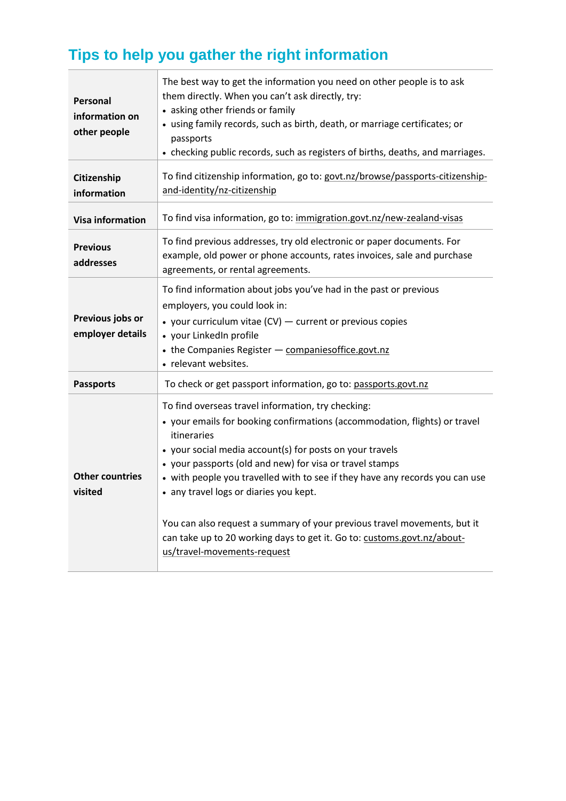# **Tips to help you gather the right information**

| Personal<br>information on<br>other people | The best way to get the information you need on other people is to ask<br>them directly. When you can't ask directly, try:<br>• asking other friends or family<br>• using family records, such as birth, death, or marriage certificates; or<br>passports<br>• checking public records, such as registers of births, deaths, and marriages.                                                                                                                                                                                                                                             |
|--------------------------------------------|-----------------------------------------------------------------------------------------------------------------------------------------------------------------------------------------------------------------------------------------------------------------------------------------------------------------------------------------------------------------------------------------------------------------------------------------------------------------------------------------------------------------------------------------------------------------------------------------|
| Citizenship<br>information                 | To find citizenship information, go to: govt.nz/browse/passports-citizenship-<br>and-identity/nz-citizenship                                                                                                                                                                                                                                                                                                                                                                                                                                                                            |
| <b>Visa information</b>                    | To find visa information, go to: immigration.govt.nz/new-zealand-visas                                                                                                                                                                                                                                                                                                                                                                                                                                                                                                                  |
| <b>Previous</b><br>addresses               | To find previous addresses, try old electronic or paper documents. For<br>example, old power or phone accounts, rates invoices, sale and purchase<br>agreements, or rental agreements.                                                                                                                                                                                                                                                                                                                                                                                                  |
| Previous jobs or<br>employer details       | To find information about jobs you've had in the past or previous<br>employers, you could look in:<br>• your curriculum vitae (CV) - current or previous copies<br>• your LinkedIn profile<br>• the Companies Register - companiesoffice.govt.nz<br>• relevant websites.                                                                                                                                                                                                                                                                                                                |
| <b>Passports</b>                           | To check or get passport information, go to: passports.govt.nz                                                                                                                                                                                                                                                                                                                                                                                                                                                                                                                          |
| <b>Other countries</b><br>visited          | To find overseas travel information, try checking:<br>• your emails for booking confirmations (accommodation, flights) or travel<br>itineraries<br>• your social media account(s) for posts on your travels<br>• your passports (old and new) for visa or travel stamps<br>• with people you travelled with to see if they have any records you can use<br>• any travel logs or diaries you kept.<br>You can also request a summary of your previous travel movements, but it<br>can take up to 20 working days to get it. Go to: customs.govt.nz/about-<br>us/travel-movements-request |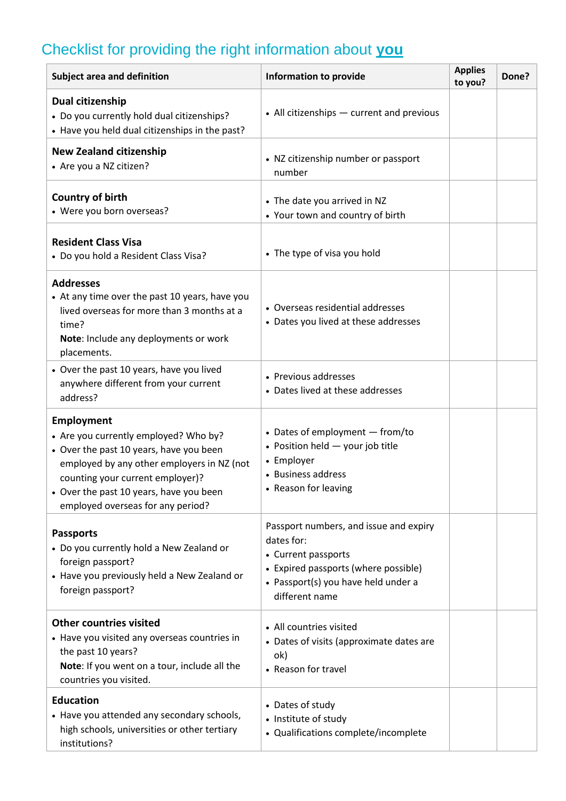## Checklist for providing the right information about **you**

| Subject area and definition                                                                                                                                                                                                                                    | <b>Information to provide</b>                                                                                                                                                | <b>Applies</b><br>to you? | Done? |
|----------------------------------------------------------------------------------------------------------------------------------------------------------------------------------------------------------------------------------------------------------------|------------------------------------------------------------------------------------------------------------------------------------------------------------------------------|---------------------------|-------|
| Dual citizenship<br>• Do you currently hold dual citizenships?<br>• Have you held dual citizenships in the past?                                                                                                                                               | • All citizenships - current and previous                                                                                                                                    |                           |       |
| <b>New Zealand citizenship</b><br>• Are you a NZ citizen?                                                                                                                                                                                                      | • NZ citizenship number or passport<br>number                                                                                                                                |                           |       |
| <b>Country of birth</b><br>• Were you born overseas?                                                                                                                                                                                                           | • The date you arrived in NZ<br>• Your town and country of birth                                                                                                             |                           |       |
| <b>Resident Class Visa</b><br>• Do you hold a Resident Class Visa?                                                                                                                                                                                             | • The type of visa you hold                                                                                                                                                  |                           |       |
| <b>Addresses</b><br>• At any time over the past 10 years, have you<br>lived overseas for more than 3 months at a<br>time?<br>Note: Include any deployments or work<br>placements.                                                                              | • Overseas residential addresses<br>• Dates you lived at these addresses                                                                                                     |                           |       |
| • Over the past 10 years, have you lived<br>anywhere different from your current<br>address?                                                                                                                                                                   | • Previous addresses<br>• Dates lived at these addresses                                                                                                                     |                           |       |
| Employment<br>• Are you currently employed? Who by?<br>• Over the past 10 years, have you been<br>employed by any other employers in NZ (not<br>counting your current employer)?<br>Over the past 10 years, have you been<br>employed overseas for any period? | • Dates of employment - from/to<br>• Position held - your job title<br>• Employer<br>• Business address<br>• Reason for leaving                                              |                           |       |
| <b>Passports</b><br>• Do you currently hold a New Zealand or<br>foreign passport?<br>• Have you previously held a New Zealand or<br>foreign passport?                                                                                                          | Passport numbers, and issue and expiry<br>dates for:<br>• Current passports<br>• Expired passports (where possible)<br>• Passport(s) you have held under a<br>different name |                           |       |
| <b>Other countries visited</b><br>• Have you visited any overseas countries in<br>the past 10 years?<br>Note: If you went on a tour, include all the<br>countries you visited.                                                                                 | • All countries visited<br>• Dates of visits (approximate dates are<br>ok)<br>• Reason for travel                                                                            |                           |       |
| <b>Education</b><br>• Have you attended any secondary schools,<br>high schools, universities or other tertiary<br>institutions?                                                                                                                                | • Dates of study<br>• Institute of study<br>• Qualifications complete/incomplete                                                                                             |                           |       |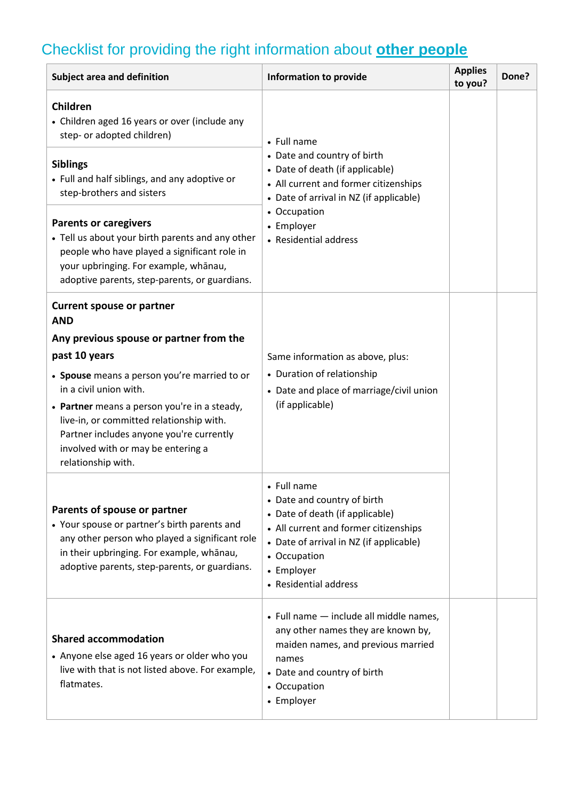# Checklist for providing the right information about **other people**

| Subject area and definition                                                                                                                                                                                                                                                                                                                                                              | <b>Information to provide</b>                                                                                                                                                                                            | <b>Applies</b><br>to you? | Done? |
|------------------------------------------------------------------------------------------------------------------------------------------------------------------------------------------------------------------------------------------------------------------------------------------------------------------------------------------------------------------------------------------|--------------------------------------------------------------------------------------------------------------------------------------------------------------------------------------------------------------------------|---------------------------|-------|
| Children<br>• Children aged 16 years or over (include any<br>step- or adopted children)                                                                                                                                                                                                                                                                                                  | • Full name<br>• Date and country of birth<br>• Date of death (if applicable)<br>• All current and former citizenships<br>• Date of arrival in NZ (if applicable)                                                        |                           |       |
| <b>Siblings</b><br>• Full and half siblings, and any adoptive or<br>step-brothers and sisters                                                                                                                                                                                                                                                                                            |                                                                                                                                                                                                                          |                           |       |
| <b>Parents or caregivers</b><br>• Tell us about your birth parents and any other<br>people who have played a significant role in<br>your upbringing. For example, whanau,<br>adoptive parents, step-parents, or guardians.                                                                                                                                                               | • Occupation<br>• Employer<br>• Residential address                                                                                                                                                                      |                           |       |
| <b>Current spouse or partner</b><br><b>AND</b><br>Any previous spouse or partner from the<br>past 10 years<br>• Spouse means a person you're married to or<br>in a civil union with.<br>• Partner means a person you're in a steady,<br>live-in, or committed relationship with.<br>Partner includes anyone you're currently<br>involved with or may be entering a<br>relationship with. | Same information as above, plus:<br>• Duration of relationship<br>• Date and place of marriage/civil union<br>(if applicable)                                                                                            |                           |       |
| Parents of spouse or partner<br>• Your spouse or partner's birth parents and<br>any other person who played a significant role<br>in their upbringing. For example, whanau,<br>adoptive parents, step-parents, or guardians.                                                                                                                                                             | • Full name<br>• Date and country of birth<br>• Date of death (if applicable)<br>• All current and former citizenships<br>• Date of arrival in NZ (if applicable)<br>• Occupation<br>• Employer<br>• Residential address |                           |       |
| <b>Shared accommodation</b><br>• Anyone else aged 16 years or older who you<br>live with that is not listed above. For example,<br>flatmates.                                                                                                                                                                                                                                            | • Full name - include all middle names,<br>any other names they are known by,<br>maiden names, and previous married<br>names<br>• Date and country of birth<br>• Occupation<br>• Employer                                |                           |       |